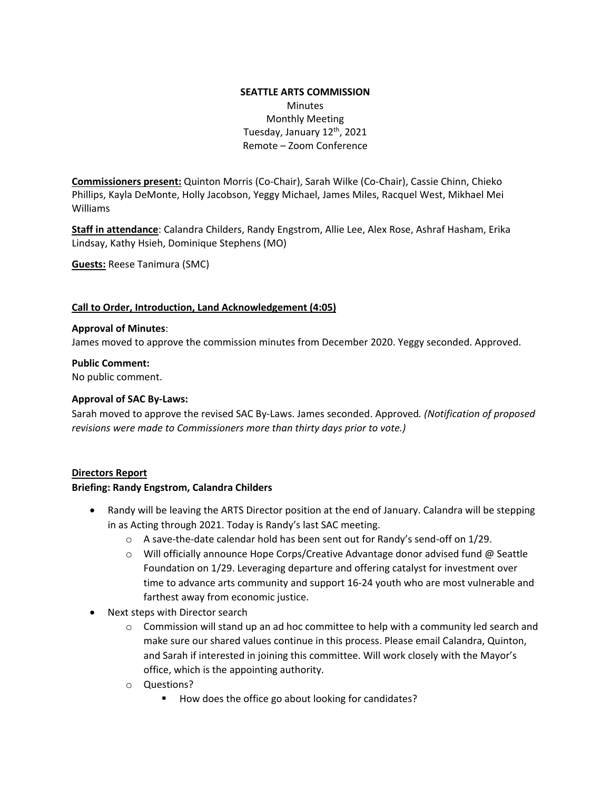# **SEATTLE ARTS COMMISSION Minutes** Monthly Meeting Tuesday, January 12<sup>th</sup>, 2021 Remote – Zoom Conference

**Commissioners present:** Quinton Morris (Co-Chair), Sarah Wilke (Co-Chair), Cassie Chinn, Chieko Phillips, Kayla DeMonte, Holly Jacobson, Yeggy Michael, James Miles, Racquel West, Mikhael Mei Williams

**Staff in attendance**: Calandra Childers, Randy Engstrom, Allie Lee, Alex Rose, Ashraf Hasham, Erika Lindsay, Kathy Hsieh, Dominique Stephens (MO)

**Guests:** Reese Tanimura (SMC)

## **Call to Order, Introduction, Land Acknowledgement (4:05)**

#### **Approval of Minutes**:

James moved to approve the commission minutes from December 2020. Yeggy seconded. Approved.

#### **Public Comment:**

No public comment.

## **Approval of SAC By-Laws:**

Sarah moved to approve the revised SAC By-Laws. James seconded. Approved*. (Notification of proposed revisions were made to Commissioners more than thirty days prior to vote.)*

## **Directors Report**

#### **Briefing: Randy Engstrom, Calandra Childers**

- Randy will be leaving the ARTS Director position at the end of January. Calandra will be stepping in as Acting through 2021. Today is Randy's last SAC meeting.
	- o A save-the-date calendar hold has been sent out for Randy's send-off on 1/29.
	- o Will officially announce Hope Corps/Creative Advantage donor advised fund @ Seattle Foundation on 1/29. Leveraging departure and offering catalyst for investment over time to advance arts community and support 16-24 youth who are most vulnerable and farthest away from economic justice.
- Next steps with Director search
	- $\circ$  Commission will stand up an ad hoc committee to help with a community led search and make sure our shared values continue in this process. Please email Calandra, Quinton, and Sarah if interested in joining this committee. Will work closely with the Mayor's office, which is the appointing authority.
	- o Questions?
		- How does the office go about looking for candidates?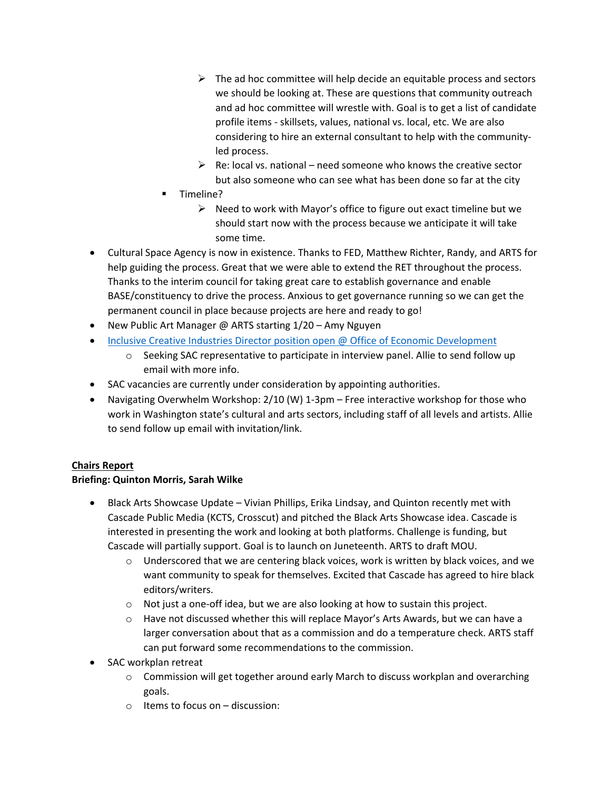- $\triangleright$  The ad hoc committee will help decide an equitable process and sectors we should be looking at. These are questions that community outreach and ad hoc committee will wrestle with. Goal is to get a list of candidate profile items - skillsets, values, national vs. local, etc. We are also considering to hire an external consultant to help with the communityled process.
- $\triangleright$  Re: local vs. national need someone who knows the creative sector but also someone who can see what has been done so far at the city
- Timeline?
	- $\triangleright$  Need to work with Mayor's office to figure out exact timeline but we should start now with the process because we anticipate it will take some time.
- Cultural Space Agency is now in existence. Thanks to FED, Matthew Richter, Randy, and ARTS for help guiding the process. Great that we were able to extend the RET throughout the process. Thanks to the interim council for taking great care to establish governance and enable BASE/constituency to drive the process. Anxious to get governance running so we can get the permanent council in place because projects are here and ready to go!
- New Public Art Manager @ ARTS starting 1/20 Amy Nguyen
- [Inclusive Creative Industries Director position open @ Office of Economic Development](https://www.governmentjobs.com/careers/seattle/jobs/2945989/inclusive-creative-industry-director)
	- Seeking SAC representative to participate in interview panel. Allie to send follow up email with more info.
- SAC vacancies are currently under consideration by appointing authorities.
- Navigating Overwhelm Workshop: 2/10 (W) 1-3pm Free interactive workshop for those who work in Washington state's cultural and arts sectors, including staff of all levels and artists. Allie to send follow up email with invitation/link.

# **Chairs Report**

# **Briefing: Quinton Morris, Sarah Wilke**

- Black Arts Showcase Update Vivian Phillips, Erika Lindsay, and Quinton recently met with Cascade Public Media (KCTS, Crosscut) and pitched the Black Arts Showcase idea. Cascade is interested in presenting the work and looking at both platforms. Challenge is funding, but Cascade will partially support. Goal is to launch on Juneteenth. ARTS to draft MOU.
	- $\circ$  Underscored that we are centering black voices, work is written by black voices, and we want community to speak for themselves. Excited that Cascade has agreed to hire black editors/writers.
	- o Not just a one-off idea, but we are also looking at how to sustain this project.
	- o Have not discussed whether this will replace Mayor's Arts Awards, but we can have a larger conversation about that as a commission and do a temperature check. ARTS staff can put forward some recommendations to the commission.
- SAC workplan retreat
	- o Commission will get together around early March to discuss workplan and overarching goals.
	- $\circ$  Items to focus on discussion: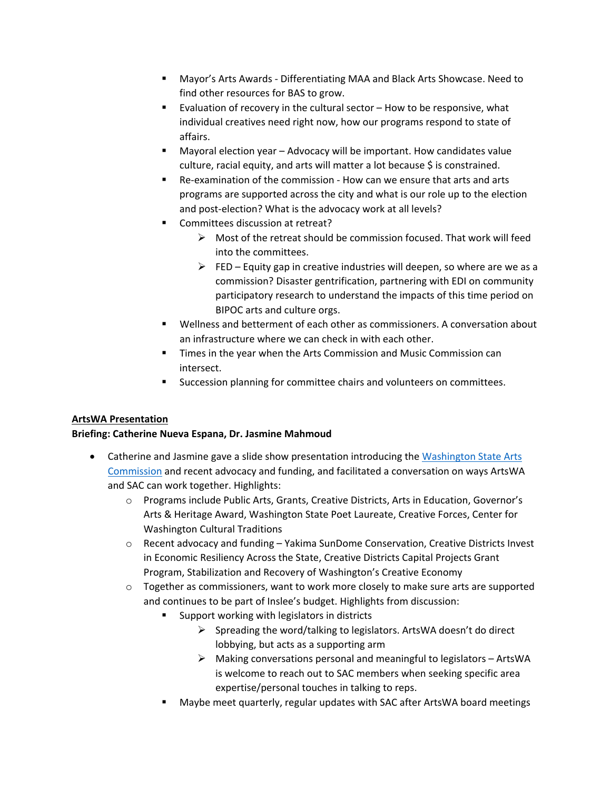- Mayor's Arts Awards Differentiating MAA and Black Arts Showcase. Need to find other resources for BAS to grow.
- Evaluation of recovery in the cultural sector How to be responsive, what individual creatives need right now, how our programs respond to state of affairs.
- Mayoral election year Advocacy will be important. How candidates value culture, racial equity, and arts will matter a lot because \$ is constrained.
- Re-examination of the commission How can we ensure that arts and arts programs are supported across the city and what is our role up to the election and post-election? What is the advocacy work at all levels?
- Committees discussion at retreat?
	- $\triangleright$  Most of the retreat should be commission focused. That work will feed into the committees.
	- $\triangleright$  FED Equity gap in creative industries will deepen, so where are we as a commission? Disaster gentrification, partnering with EDI on community participatory research to understand the impacts of this time period on BIPOC arts and culture orgs.
- Wellness and betterment of each other as commissioners. A conversation about an infrastructure where we can check in with each other.
- **Times in the year when the Arts Commission and Music Commission can** intersect.
- Succession planning for committee chairs and volunteers on committees.

# **ArtsWA Presentation**

# **Briefing: Catherine Nueva Espana, Dr. Jasmine Mahmoud**

- Catherine and Jasmine gave a slide show presentation introducing the [Washington State Arts](https://www.arts.wa.gov/)  [Commission](https://www.arts.wa.gov/) and recent advocacy and funding, and facilitated a conversation on ways ArtsWA and SAC can work together. Highlights:
	- o Programs include Public Arts, Grants, Creative Districts, Arts in Education, Governor's Arts & Heritage Award, Washington State Poet Laureate, Creative Forces, Center for Washington Cultural Traditions
	- o Recent advocacy and funding Yakima SunDome Conservation, Creative Districts Invest in Economic Resiliency Across the State, Creative Districts Capital Projects Grant Program, Stabilization and Recovery of Washington's Creative Economy
	- $\circ$  Together as commissioners, want to work more closely to make sure arts are supported and continues to be part of Inslee's budget. Highlights from discussion:
		- Support working with legislators in districts
			- $\triangleright$  Spreading the word/talking to legislators. ArtsWA doesn't do direct lobbying, but acts as a supporting arm
			- $\triangleright$  Making conversations personal and meaningful to legislators ArtsWA is welcome to reach out to SAC members when seeking specific area expertise/personal touches in talking to reps.
		- Maybe meet quarterly, regular updates with SAC after ArtsWA board meetings